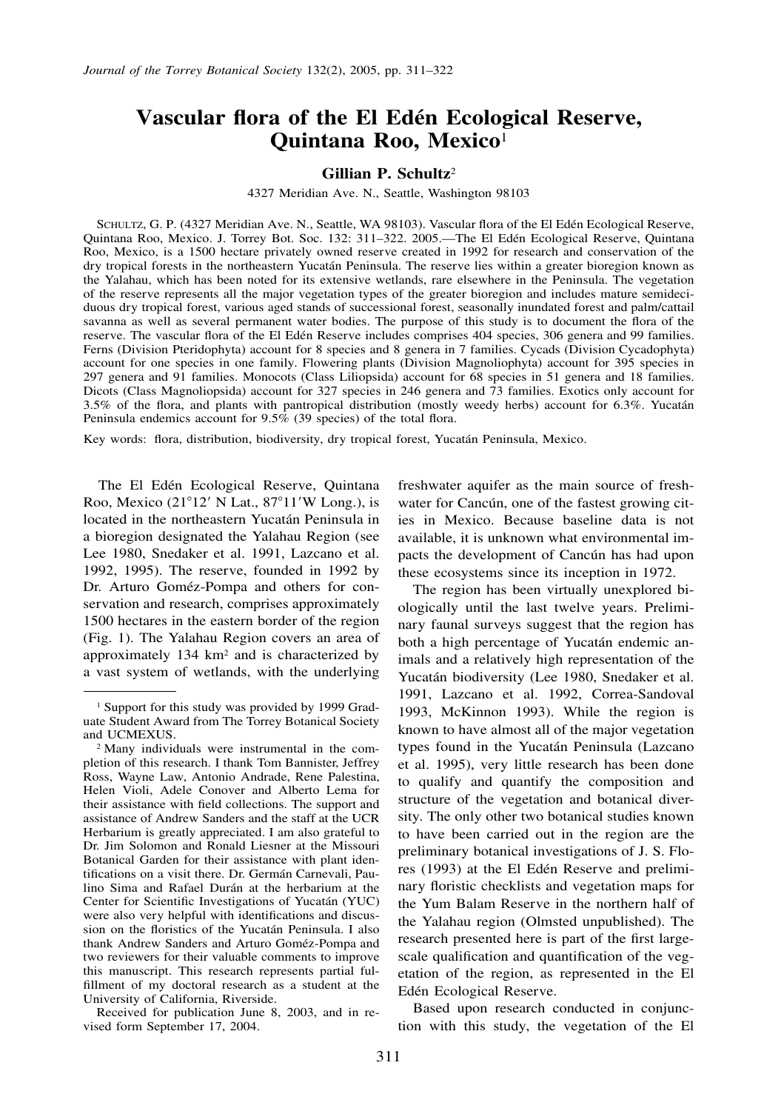# Vascular flora of the El Edén Ecological Reserve, **Quintana Roo, Mexico**<sup>1</sup>

# **Gillian P. Schultz**<sup>2</sup>

4327 Meridian Ave. N., Seattle, Washington 98103

SCHULTZ, G. P. (4327 Meridian Ave. N., Seattle, WA 98103). Vascular flora of the El Edén Ecological Reserve, Quintana Roo, Mexico. J. Torrey Bot. Soc. 132: 311-322. 2005.—The El Edén Ecological Reserve, Quintana Roo, Mexico, is a 1500 hectare privately owned reserve created in 1992 for research and conservation of the dry tropical forests in the northeastern Yucatán Peninsula. The reserve lies within a greater bioregion known as the Yalahau, which has been noted for its extensive wetlands, rare elsewhere in the Peninsula. The vegetation of the reserve represents all the major vegetation types of the greater bioregion and includes mature semideciduous dry tropical forest, various aged stands of successional forest, seasonally inundated forest and palm/cattail savanna as well as several permanent water bodies. The purpose of this study is to document the flora of the reserve. The vascular flora of the El Edén Reserve includes comprises 404 species, 306 genera and 99 families. Ferns (Division Pteridophyta) account for 8 species and 8 genera in 7 families. Cycads (Division Cycadophyta) account for one species in one family. Flowering plants (Division Magnoliophyta) account for 395 species in 297 genera and 91 families. Monocots (Class Liliopsida) account for 68 species in 51 genera and 18 families. Dicots (Class Magnoliopsida) account for 327 species in 246 genera and 73 families. Exotics only account for 3.5% of the flora, and plants with pantropical distribution (mostly weedy herbs) account for 6.3%. Yucatán Peninsula endemics account for  $9.5\%$  (39 species) of the total flora.

Key words: flora, distribution, biodiversity, dry tropical forest, Yucatán Peninsula, Mexico.

The El Edén Ecological Reserve, Quintana Roo, Mexico (21°12' N Lat., 87°11'W Long.), is located in the northeastern Yucatán Peninsula in a bioregion designated the Yalahau Region (see Lee 1980, Snedaker et al. 1991, Lazcano et al. 1992, 1995). The reserve, founded in 1992 by Dr. Arturo Goméz-Pompa and others for conservation and research, comprises approximately 1500 hectares in the eastern border of the region (Fig. 1). The Yalahau Region covers an area of approximately 134 km2 and is characterized by a vast system of wetlands, with the underlying

Received for publication June 8, 2003, and in revised form September 17, 2004.

freshwater aquifer as the main source of freshwater for Cancún, one of the fastest growing cities in Mexico. Because baseline data is not available, it is unknown what environmental impacts the development of Cancún has had upon these ecosystems since its inception in 1972.

The region has been virtually unexplored biologically until the last twelve years. Preliminary faunal surveys suggest that the region has both a high percentage of Yucatán endemic animals and a relatively high representation of the Yucatán biodiversity (Lee 1980, Snedaker et al. 1991, Lazcano et al. 1992, Correa-Sandoval 1993, McKinnon 1993). While the region is known to have almost all of the major vegetation types found in the Yucatán Peninsula (Lazcano et al. 1995), very little research has been done to qualify and quantify the composition and structure of the vegetation and botanical diversity. The only other two botanical studies known to have been carried out in the region are the preliminary botanical investigations of J. S. Flores (1993) at the El Edén Reserve and preliminary floristic checklists and vegetation maps for the Yum Balam Reserve in the northern half of the Yalahau region (Olmsted unpublished). The research presented here is part of the first largescale qualification and quantification of the vegetation of the region, as represented in the El Edén Ecological Reserve.

Based upon research conducted in conjunction with this study, the vegetation of the El

<sup>1</sup> Support for this study was provided by 1999 Graduate Student Award from The Torrey Botanical Society and UCMEXUS.

<sup>2</sup> Many individuals were instrumental in the completion of this research. I thank Tom Bannister, Jeffrey Ross, Wayne Law, Antonio Andrade, Rene Palestina, Helen Violi, Adele Conover and Alberto Lema for their assistance with field collections. The support and assistance of Andrew Sanders and the staff at the UCR Herbarium is greatly appreciated. I am also grateful to Dr. Jim Solomon and Ronald Liesner at the Missouri Botanical Garden for their assistance with plant identifications on a visit there. Dr. Germán Carnevali, Paulino Sima and Rafael Durán at the herbarium at the Center for Scientific Investigations of Yucatán (YUC) were also very helpful with identifications and discussion on the floristics of the Yucatán Peninsula. I also thank Andrew Sanders and Arturo Goméz-Pompa and two reviewers for their valuable comments to improve this manuscript. This research represents partial fulfillment of my doctoral research as a student at the University of California, Riverside.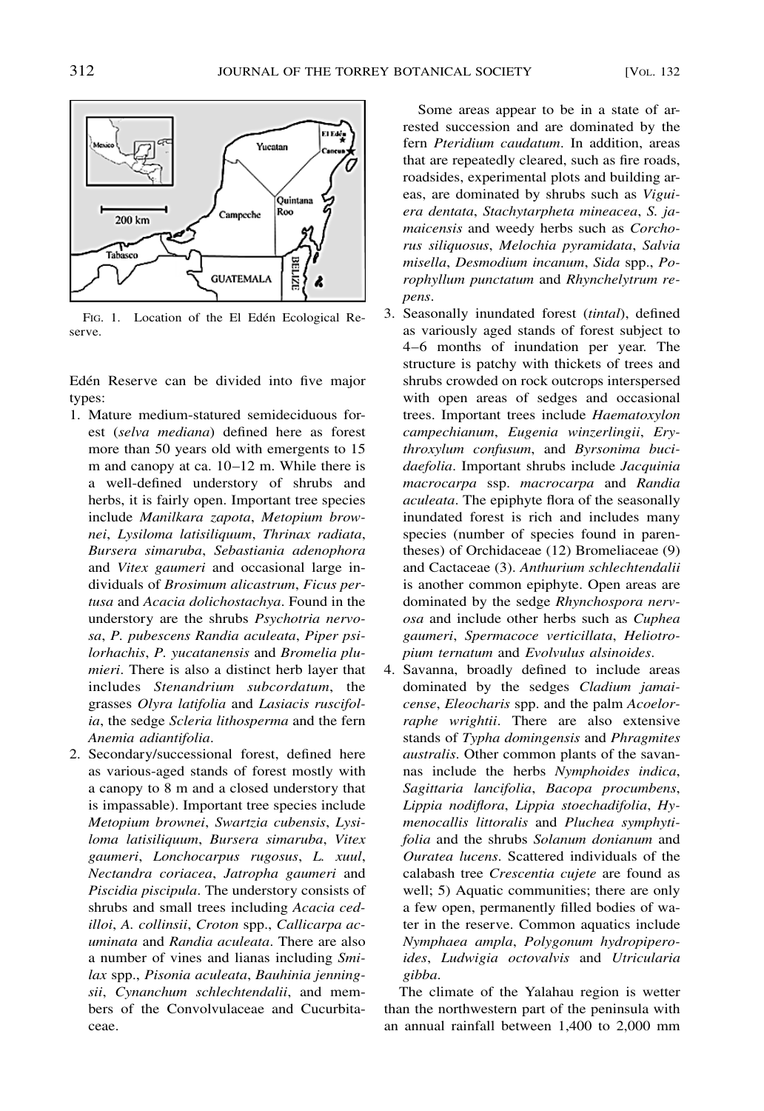

FIG. 1. Location of the El Edén Ecological Reserve.

Edén Reserve can be divided into five major types:

- 1. Mature medium-statured semideciduous forest (*selva mediana*) defined here as forest more than 50 years old with emergents to 15 m and canopy at ca. 10–12 m. While there is a well-defined understory of shrubs and herbs, it is fairly open. Important tree species include *Manilkara zapota*, *Metopium brownei*, *Lysiloma latisiliquum*, *Thrinax radiata*, *Bursera simaruba*, *Sebastiania adenophora* and *Vitex gaumeri* and occasional large individuals of *Brosimum alicastrum*, *Ficus pertusa* and *Acacia dolichostachya*. Found in the understory are the shrubs *Psychotria nervosa*, *P. pubescens Randia aculeata*, *Piper psilorhachis*, *P. yucatanensis* and *Bromelia plumieri*. There is also a distinct herb layer that includes *Stenandrium subcordatum*, the grasses *Olyra latifolia* and *Lasiacis ruscifolia*, the sedge *Scleria lithosperma* and the fern *Anemia adiantifolia*.
- 2. Secondary/successional forest, defined here as various-aged stands of forest mostly with a canopy to 8 m and a closed understory that is impassable). Important tree species include *Metopium brownei*, *Swartzia cubensis*, *Lysiloma latisiliquum*, *Bursera simaruba*, *Vitex gaumeri*, *Lonchocarpus rugosus*, *L. xuul*, *Nectandra coriacea*, *Jatropha gaumeri* and *Piscidia piscipula*. The understory consists of shrubs and small trees including *Acacia cedilloi*, *A. collinsii*, *Croton* spp., *Callicarpa acuminata* and *Randia aculeata*. There are also a number of vines and lianas including *Smilax* spp., *Pisonia aculeata*, *Bauhinia jenningsii*, *Cynanchum schlechtendalii*, and members of the Convolvulaceae and Cucurbitaceae.

Some areas appear to be in a state of arrested succession and are dominated by the fern *Pteridium caudatum*. In addition, areas that are repeatedly cleared, such as fire roads, roadsides, experimental plots and building areas, are dominated by shrubs such as *Viguiera dentata*, *Stachytarpheta mineacea*, *S. jamaicensis* and weedy herbs such as *Corchorus siliquosus*, *Melochia pyramidata*, *Salvia misella*, *Desmodium incanum*, *Sida* spp., *Porophyllum punctatum* and *Rhynchelytrum repens*.

- 3. Seasonally inundated forest (*tintal*), defined as variously aged stands of forest subject to 4–6 months of inundation per year. The structure is patchy with thickets of trees and shrubs crowded on rock outcrops interspersed with open areas of sedges and occasional trees. Important trees include *Haematoxylon campechianum*, *Eugenia winzerlingii*, *Erythroxylum confusum*, and *Byrsonima bucidaefolia*. Important shrubs include *Jacquinia macrocarpa* ssp. *macrocarpa* and *Randia aculeata*. The epiphyte flora of the seasonally inundated forest is rich and includes many species (number of species found in parentheses) of Orchidaceae (12) Bromeliaceae (9) and Cactaceae (3). *Anthurium schlechtendalii* is another common epiphyte. Open areas are dominated by the sedge *Rhynchospora nervosa* and include other herbs such as *Cuphea gaumeri*, *Spermacoce verticillata*, *Heliotropium ternatum* and *Evolvulus alsinoides*.
- 4. Savanna, broadly defined to include areas dominated by the sedges *Cladium jamaicense*, *Eleocharis* spp. and the palm *Acoelorraphe wrightii*. There are also extensive stands of *Typha domingensis* and *Phragmites australis*. Other common plants of the savannas include the herbs *Nymphoides indica*, *Sagittaria lancifolia*, *Bacopa procumbens*, *Lippia nodiflora*, *Lippia stoechadifolia*, *Hymenocallis littoralis* and *Pluchea symphytifolia* and the shrubs *Solanum donianum* and *Ouratea lucens*. Scattered individuals of the calabash tree *Crescentia cujete* are found as well; 5) Aquatic communities; there are only a few open, permanently filled bodies of water in the reserve. Common aquatics include *Nymphaea ampla*, *Polygonum hydropiperoides*, *Ludwigia octovalvis* and *Utricularia gibba*.

The climate of the Yalahau region is wetter than the northwestern part of the peninsula with an annual rainfall between 1,400 to 2,000 mm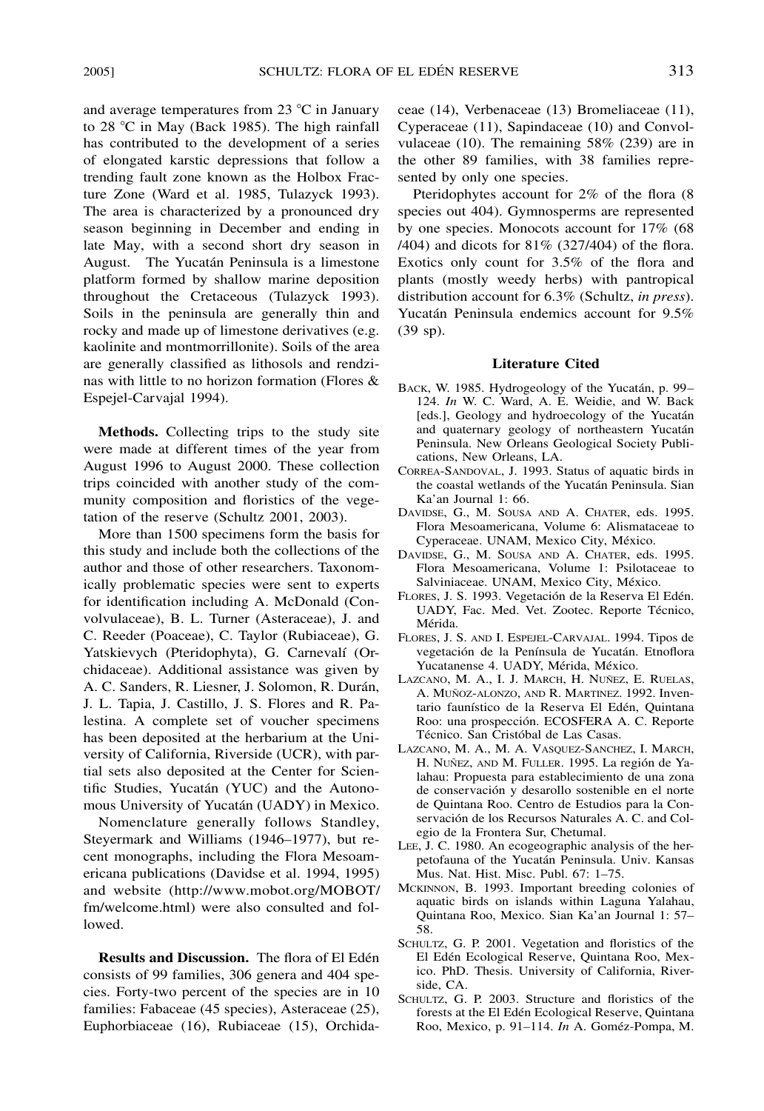and average temperatures from 23  $^{\circ}$ C in January to 28  $^{\circ}$ C in May (Back 1985). The high rainfall has contributed to the development of a series of elongated karstic depressions that follow a trending fault zone known as the Holbox Fracture Zone (Ward et al. 1985, Tulazyck 1993). The area is characterized by a pronounced dry season beginning in December and ending in late May, with a second short dry season in August. The Yucatán Peninsula is a limestone platform formed by shallow marine deposition throughout the Cretaceous (Tulazyck 1993). Soils in the peninsula are generally thin and rocky and made up of limestone derivatives (e.g. kaolinite and montmorrillonite). Soils of the area are generally classified as lithosols and rendzinas with little to no horizon formation (Flores & Espejel-Carvajal 1994).

**Methods.** Collecting trips to the study site were made at different times of the year from August 1996 to August 2000. These collection trips coincided with another study of the community composition and floristics of the vegetation of the reserve (Schultz 2001, 2003).

More than 1500 specimens form the basis for this study and include both the collections of the author and those of other researchers. Taxonomically problematic species were sent to experts for identification including A. McDonald (Convolvulaceae), B. L. Turner (Asteraceae), J. and C. Reeder (Poaceae), C. Taylor (Rubiaceae), G. Yatskievych (Pteridophyta), G. Carnevalí (Orchidaceae). Additional assistance was given by A. C. Sanders, R. Liesner, J. Solomon, R. Durán, J. L. Tapia, J. Castillo, J. S. Flores and R. Palestina. A complete set of voucher specimens has been deposited at the herbarium at the University of California, Riverside (UCR), with partial sets also deposited at the Center for Scientific Studies, Yucatán (YUC) and the Autonomous University of Yucatán (UADY) in Mexico.

Nomenclature generally follows Standley, Steyermark and Williams (1946–1977), but recent monographs, including the Flora Mesoamericana publications (Davidse et al. 1994, 1995) and website (http://www.mobot.org/MOBOT/ fm/welcome.html) were also consulted and followed.

**Results and Discussion.** The flora of El Edén consists of 99 families, 306 genera and 404 species. Forty-two percent of the species are in 10 families: Fabaceae (45 species), Asteraceae (25), Euphorbiaceae (16), Rubiaceae (15), Orchidaceae (14), Verbenaceae (13) Bromeliaceae (11), Cyperaceae (11), Sapindaceae (10) and Convolvulaceae (10). The remaining 58% (239) are in the other 89 families, with 38 families represented by only one species.

Pteridophytes account for 2% of the flora (8 species out 404). Gymnosperms are represented by one species. Monocots account for 17% (68 /404) and dicots for 81% (327/404) of the flora. Exotics only count for 3.5% of the flora and plants (mostly weedy herbs) with pantropical distribution account for 6.3% (Schultz, *in press*). Yucatán Peninsula endemics account for 9.5% (39 sp).

# **Literature Cited**

- BACK, W. 1985. Hydrogeology of the Yucatán, p. 99– 124. *In* W. C. Ward, A. E. Weidie, and W. Back [eds.], Geology and hydroecology of the Yucatán and quaternary geology of northeastern Yucatán Peninsula. New Orleans Geological Society Publications, New Orleans, LA.
- CORREA-SANDOVAL, J. 1993. Status of aquatic birds in the coastal wetlands of the Yucatán Peninsula. Sian Ka'an Journal 1: 66.
- DAVIDSE, G., M. SOUSA AND A. CHATER, eds. 1995. Flora Mesoamericana, Volume 6: Alismataceae to Cyperaceae. UNAM, Mexico City, México.
- DAVIDSE, G., M. SOUSA AND A. CHATER, eds. 1995. Flora Mesoamericana, Volume 1: Psilotaceae to Salviniaceae. UNAM, Mexico City, México.
- FLORES, J. S. 1993. Vegetación de la Reserva El Edén. UADY, Fac. Med. Vet. Zootec. Reporte Técnico, Mérida.
- FLORES, J. S. AND I. ESPEJEL-CARVAJAL. 1994. Tipos de vegetación de la Península de Yucatán. Etnoflora Yucatanense 4. UADY, Mérida, México.
- LAZCANO, M. A., I. J. MARCH, H. NUÑEZ, E. RUELAS, A. MUÑOZ-ALONZO, AND R. MARTINEZ. 1992. Inventario faunístico de la Reserva El Edén, Quintana Roo: una prospección. ECOSFERA A. C. Reporte Técnico. San Cristóbal de Las Casas.
- LAZCANO, M. A., M. A. VASQUEZ-SANCHEZ, I. MARCH, H. NUÑEZ, AND M. FULLER. 1995. La región de Yalahau: Propuesta para establecimiento de una zona de conservación y desarollo sostenible en el norte de Quintana Roo. Centro de Estudios para la Conservación de los Recursos Naturales A. C. and Colegio de la Frontera Sur, Chetumal.
- LEE, J. C. 1980. An ecogeographic analysis of the herpetofauna of the Yucatán Peninsula. Univ. Kansas Mus. Nat. Hist. Misc. Publ. 67: 1–75.
- MCKINNON, B. 1993. Important breeding colonies of aquatic birds on islands within Laguna Yalahau, Quintana Roo, Mexico. Sian Ka'an Journal 1: 57– 58.
- SCHULTZ, G. P. 2001. Vegetation and floristics of the El Edén Ecological Reserve, Quintana Roo, Mexico. PhD. Thesis. University of California, Riverside, CA.
- SCHULTZ, G. P. 2003. Structure and floristics of the forests at the El Edén Ecological Reserve, Quintana Roo, Mexico, p. 91-114. *In* A. Goméz-Pompa, M.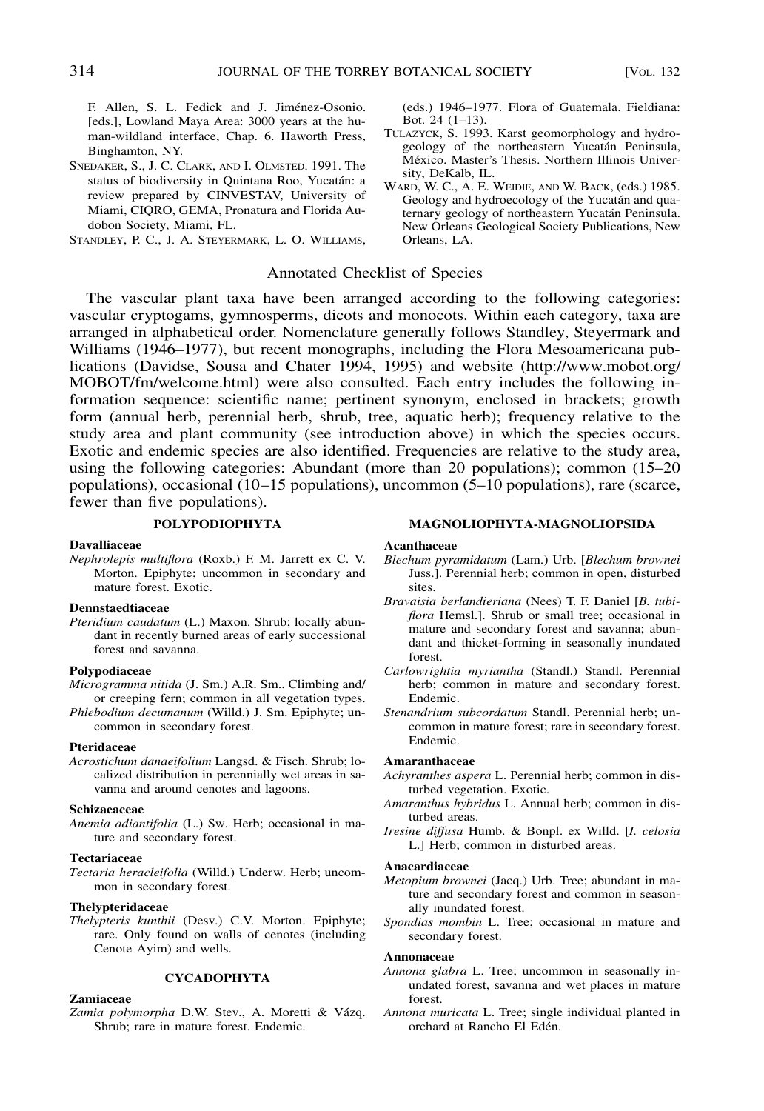F. Allen, S. L. Fedick and J. Jiménez-Osonio. [eds.], Lowland Maya Area: 3000 years at the human-wildland interface, Chap. 6. Haworth Press, Binghamton, NY.

SNEDAKER, S., J. C. CLARK, AND I. OLMSTED. 1991. The status of biodiversity in Quintana Roo, Yucatán: a review prepared by CINVESTAV, University of Miami, CIQRO, GEMA, Pronatura and Florida Audobon Society, Miami, FL.

STANDLEY, P. C., J. A. STEYERMARK, L. O. WILLIAMS,

# Annotated Checklist of Species

The vascular plant taxa have been arranged according to the following categories: vascular cryptogams, gymnosperms, dicots and monocots. Within each category, taxa are arranged in alphabetical order. Nomenclature generally follows Standley, Steyermark and Williams (1946–1977), but recent monographs, including the Flora Mesoamericana publications (Davidse, Sousa and Chater 1994, 1995) and website (http://www.mobot.org/ MOBOT/fm/welcome.html) were also consulted. Each entry includes the following information sequence: scientific name; pertinent synonym, enclosed in brackets; growth form (annual herb, perennial herb, shrub, tree, aquatic herb); frequency relative to the study area and plant community (see introduction above) in which the species occurs. Exotic and endemic species are also identified. Frequencies are relative to the study area, using the following categories: Abundant (more than 20 populations); common (15–20 populations), occasional (10–15 populations), uncommon (5–10 populations), rare (scarce, fewer than five populations).

# **POLYPODIOPHYTA**

# **Davalliaceae**

*Nephrolepis multiflora* (Roxb.) F. M. Jarrett ex C. V. Morton. Epiphyte; uncommon in secondary and mature forest. Exotic.

# **Dennstaedtiaceae**

*Pteridium caudatum* (L.) Maxon. Shrub; locally abundant in recently burned areas of early successional forest and savanna.

# **Polypodiaceae**

*Microgramma nitida* (J. Sm.) A.R. Sm.. Climbing and/ or creeping fern; common in all vegetation types.

*Phlebodium decumanum* (Willd.) J. Sm. Epiphyte; uncommon in secondary forest.

# **Pteridaceae**

*Acrostichum danaeifolium* Langsd. & Fisch. Shrub; localized distribution in perennially wet areas in savanna and around cenotes and lagoons.

#### **Schizaeaceae**

*Anemia adiantifolia* (L.) Sw. Herb; occasional in mature and secondary forest.

# **Tectariaceae**

# **Thelypteridaceae**

*Thelypteris kunthii* (Desv.) C.V. Morton. Epiphyte; rare. Only found on walls of cenotes (including Cenote Ayim) and wells.

# **CYCADOPHYTA**

# **Zamiaceae**

Zamia polymorpha D.W. Stev., A. Moretti & Vázq. Shrub; rare in mature forest. Endemic.

(eds.) 1946–1977. Flora of Guatemala. Fieldiana: Bot. 24 (1–13).

- TULAZYCK, S. 1993. Karst geomorphology and hydrogeology of the northeastern Yucatán Peninsula, México. Master's Thesis. Northern Illinois University, DeKalb, IL.
- WARD, W. C., A. E. WEIDIE, AND W. BACK, (eds.) 1985. Geology and hydroecology of the Yucatán and quaternary geology of northeastern Yucatán Peninsula. New Orleans Geological Society Publications, New Orleans, LA.

**MAGNOLIOPHYTA-MAGNOLIOPSIDA**

#### **Acanthaceae**

- *Blechum pyramidatum* (Lam.) Urb. [*Blechum brownei* Juss.]. Perennial herb; common in open, disturbed sites.
- *Bravaisia berlandieriana* (Nees) T. F. Daniel [*B. tubiflora* Hemsl.]. Shrub or small tree; occasional in mature and secondary forest and savanna; abundant and thicket-forming in seasonally inundated forest.
- *Carlowrightia myriantha* (Standl.) Standl. Perennial herb; common in mature and secondary forest. Endemic.
- *Stenandrium subcordatum* Standl. Perennial herb; uncommon in mature forest; rare in secondary forest. Endemic.

# **Amaranthaceae**

- *Achyranthes aspera* L. Perennial herb; common in disturbed vegetation. Exotic.
- *Amaranthus hybridus* L. Annual herb; common in disturbed areas.
- *Iresine diffusa* Humb. & Bonpl. ex Willd. [*I. celosia* L.] Herb; common in disturbed areas.

#### **Anacardiaceae**

- *Metopium brownei* (Jacq.) Urb. Tree; abundant in mature and secondary forest and common in seasonally inundated forest.
- *Spondias mombin* L. Tree; occasional in mature and secondary forest.

#### **Annonaceae**

- *Annona glabra* L. Tree; uncommon in seasonally inundated forest, savanna and wet places in mature forest.
- *Annona muricata* L. Tree; single individual planted in orchard at Rancho El Edén.

*Tectaria heracleifolia* (Willd.) Underw. Herb; uncommon in secondary forest.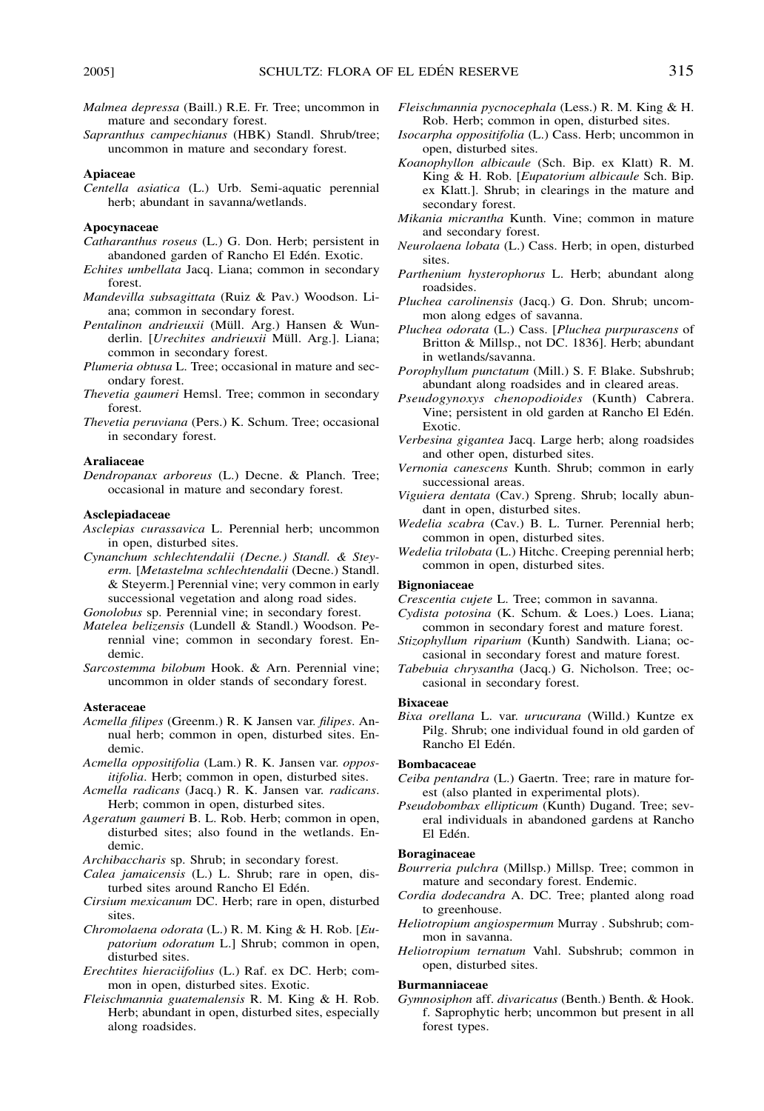- *Malmea depressa* (Baill.) R.E. Fr. Tree; uncommon in mature and secondary forest.
- *Sapranthus campechianus* (HBK) Standl. Shrub/tree; uncommon in mature and secondary forest.

#### **Apiaceae**

*Centella asiatica* (L.) Urb. Semi-aquatic perennial herb; abundant in savanna/wetlands.

# **Apocynaceae**

- *Catharanthus roseus* (L.) G. Don. Herb; persistent in abandoned garden of Rancho El Edén. Exotic.
- *Echites umbellata* Jacq. Liana; common in secondary forest.
- *Mandevilla subsagittata* (Ruiz & Pav.) Woodson. Liana; common in secondary forest.
- Pentalinon andrieuxii (Müll. Arg.) Hansen & Wunderlin. [*Urechites andrieuxii* Müll. Arg.]. Liana; common in secondary forest.
- *Plumeria obtusa* L. Tree; occasional in mature and secondary forest.
- *Thevetia gaumeri* Hemsl. Tree; common in secondary forest.
- *Thevetia peruviana* (Pers.) K. Schum. Tree; occasional in secondary forest.

# **Araliaceae**

*Dendropanax arboreus* (L.) Decne. & Planch. Tree; occasional in mature and secondary forest.

# **Asclepiadaceae**

- *Asclepias curassavica* L. Perennial herb; uncommon in open, disturbed sites.
- *Cynanchum schlechtendalii (Decne.) Standl. & Steyerm.* [*Metastelma schlechtendalii* (Decne.) Standl. & Steyerm.] Perennial vine; very common in early successional vegetation and along road sides.

*Gonolobus* sp. Perennial vine; in secondary forest.

- *Matelea belizensis* (Lundell & Standl.) Woodson. Perennial vine; common in secondary forest. Endemic.
- *Sarcostemma bilobum* Hook. & Arn. Perennial vine; uncommon in older stands of secondary forest.

#### **Asteraceae**

- *Acmella filipes* (Greenm.) R. K Jansen var. *filipes*. Annual herb; common in open, disturbed sites. Endemic.
- *Acmella oppositifolia* (Lam.) R. K. Jansen var. *oppositifolia*. Herb; common in open, disturbed sites.
- *Acmella radicans* (Jacq.) R. K. Jansen var. *radicans*. Herb; common in open, disturbed sites.
- *Ageratum gaumeri* B. L. Rob. Herb; common in open, disturbed sites; also found in the wetlands. Endemic.

*Archibaccharis* sp. Shrub; in secondary forest.

- *Calea jamaicensis* (L.) L. Shrub; rare in open, disturbed sites around Rancho El Edén.
- *Cirsium mexicanum* DC. Herb; rare in open, disturbed sites.
- *Chromolaena odorata* (L.) R. M. King & H. Rob. [*Eupatorium odoratum* L.] Shrub; common in open, disturbed sites.
- *Erechtites hieraciifolius* (L.) Raf. ex DC. Herb; common in open, disturbed sites. Exotic.
- *Fleischmannia guatemalensis* R. M. King & H. Rob. Herb; abundant in open, disturbed sites, especially along roadsides.
- *Fleischmannia pycnocephala* (Less.) R. M. King & H. Rob. Herb; common in open, disturbed sites.
- *Isocarpha oppositifolia* (L.) Cass. Herb; uncommon in open, disturbed sites.
- *Koanophyllon albicaule* (Sch. Bip. ex Klatt) R. M. King & H. Rob. [*Eupatorium albicaule* Sch. Bip. ex Klatt.]. Shrub; in clearings in the mature and secondary forest.
- *Mikania micrantha* Kunth. Vine; common in mature and secondary forest.
- *Neurolaena lobata* (L.) Cass. Herb; in open, disturbed sites.
- *Parthenium hysterophorus* L. Herb; abundant along roadsides.
- *Pluchea carolinensis* (Jacq.) G. Don. Shrub; uncommon along edges of savanna.
- *Pluchea odorata* (L.) Cass. [*Pluchea purpurascens* of Britton & Millsp., not DC. 1836]. Herb; abundant in wetlands/savanna.
- *Porophyllum punctatum* (Mill.) S. F. Blake. Subshrub; abundant along roadsides and in cleared areas.
- *Pseudogynoxys chenopodioides* (Kunth) Cabrera. Vine; persistent in old garden at Rancho El Edén. Exotic.
- *Verbesina gigantea* Jacq. Large herb; along roadsides and other open, disturbed sites.
- *Vernonia canescens* Kunth. Shrub; common in early successional areas.
- *Viguiera dentata* (Cav.) Spreng. Shrub; locally abundant in open, disturbed sites.
- *Wedelia scabra* (Cav.) B. L. Turner. Perennial herb; common in open, disturbed sites.
- *Wedelia trilobata* (L.) Hitchc. Creeping perennial herb; common in open, disturbed sites.

# **Bignoniaceae**

- *Crescentia cujete* L. Tree; common in savanna.
- *Cydista potosina* (K. Schum. & Loes.) Loes. Liana; common in secondary forest and mature forest.
- *Stizophyllum riparium* (Kunth) Sandwith. Liana; occasional in secondary forest and mature forest.
- *Tabebuia chrysantha* (Jacq.) G. Nicholson. Tree; occasional in secondary forest.

#### **Bixaceae**

*Bixa orellana* L. var. *urucurana* (Willd.) Kuntze ex Pilg. Shrub; one individual found in old garden of Rancho El Edén.

## **Bombacaceae**

- *Ceiba pentandra* (L.) Gaertn. Tree; rare in mature forest (also planted in experimental plots).
- *Pseudobombax ellipticum* (Kunth) Dugand. Tree; several individuals in abandoned gardens at Rancho El Edén.

# **Boraginaceae**

- *Bourreria pulchra* (Millsp.) Millsp. Tree; common in mature and secondary forest. Endemic.
- *Cordia dodecandra* A. DC. Tree; planted along road to greenhouse.
- *Heliotropium angiospermum* Murray . Subshrub; common in savanna.
- *Heliotropium ternatum* Vahl. Subshrub; common in open, disturbed sites.

# **Burmanniaceae**

*Gymnosiphon* aff. *divaricatus* (Benth.) Benth. & Hook. f. Saprophytic herb; uncommon but present in all forest types.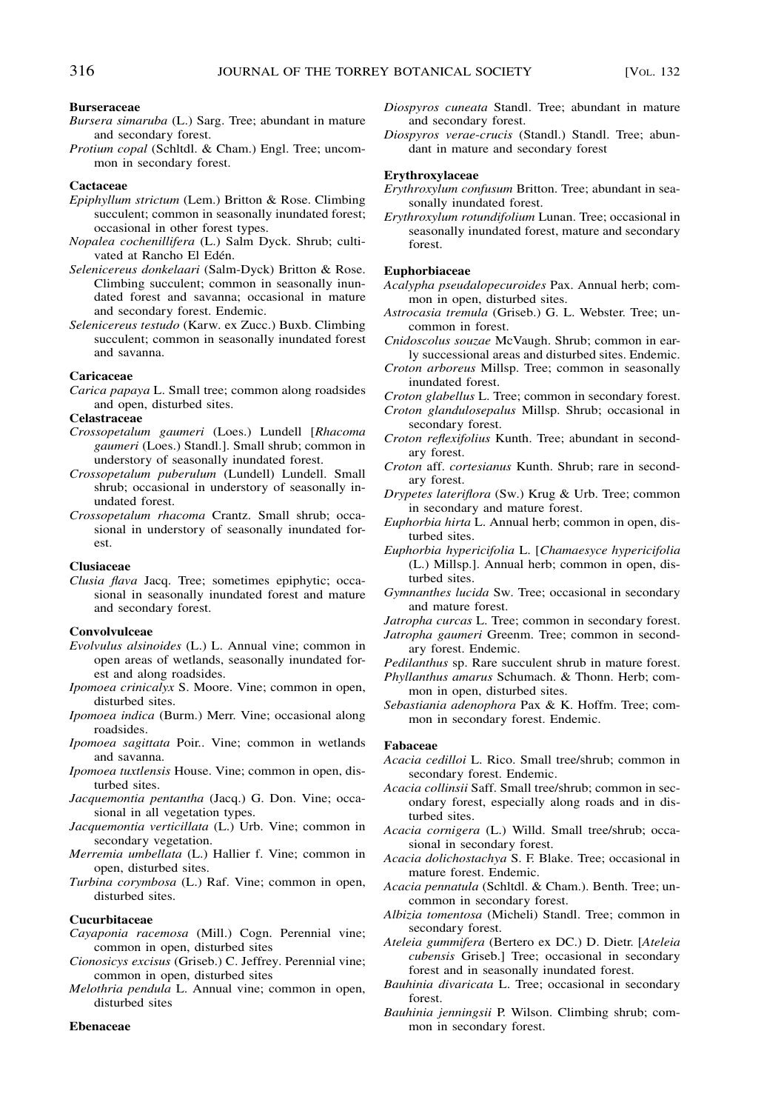# **Burseraceae**

- *Bursera simaruba* (L.) Sarg. Tree; abundant in mature and secondary forest.
- *Protium copal* (Schltdl. & Cham.) Engl. Tree; uncommon in secondary forest.

# **Cactaceae**

- *Epiphyllum strictum* (Lem.) Britton & Rose. Climbing succulent; common in seasonally inundated forest; occasional in other forest types.
- *Nopalea cochenillifera* (L.) Salm Dyck. Shrub; cultivated at Rancho El Edén.
- *Selenicereus donkelaari* (Salm-Dyck) Britton & Rose. Climbing succulent; common in seasonally inundated forest and savanna; occasional in mature and secondary forest. Endemic.
- *Selenicereus testudo* (Karw. ex Zucc.) Buxb. Climbing succulent; common in seasonally inundated forest and savanna.

# **Caricaceae**

*Carica papaya* L. Small tree; common along roadsides and open, disturbed sites.

# **Celastraceae**

- *Crossopetalum gaumeri* (Loes.) Lundell [*Rhacoma gaumeri* (Loes.) Standl.]. Small shrub; common in understory of seasonally inundated forest.
- *Crossopetalum puberulum* (Lundell) Lundell. Small shrub; occasional in understory of seasonally inundated forest.
- *Crossopetalum rhacoma* Crantz. Small shrub; occasional in understory of seasonally inundated forest.

### **Clusiaceae**

*Clusia flava* Jacq. Tree; sometimes epiphytic; occasional in seasonally inundated forest and mature and secondary forest.

# **Convolvulceae**

- *Evolvulus alsinoides* (L.) L. Annual vine; common in open areas of wetlands, seasonally inundated forest and along roadsides.
- *Ipomoea crinicalyx* S. Moore. Vine; common in open, disturbed sites.
- *Ipomoea indica* (Burm.) Merr. Vine; occasional along roadsides.
- *Ipomoea sagittata* Poir.. Vine; common in wetlands and savanna.
- *Ipomoea tuxtlensis* House. Vine; common in open, disturbed sites.
- *Jacquemontia pentantha* (Jacq.) G. Don. Vine; occasional in all vegetation types.
- *Jacquemontia verticillata* (L.) Urb. Vine; common in secondary vegetation.
- *Merremia umbellata* (L.) Hallier f. Vine; common in open, disturbed sites.
- *Turbina corymbosa* (L.) Raf. Vine; common in open, disturbed sites.

# **Cucurbitaceae**

- *Cayaponia racemosa* (Mill.) Cogn. Perennial vine; common in open, disturbed sites
- *Cionosicys excisus* (Griseb.) C. Jeffrey. Perennial vine; common in open, disturbed sites
- *Melothria pendula* L. Annual vine; common in open, disturbed sites

#### **Ebenaceae**

- *Diospyros cuneata* Standl. Tree; abundant in mature and secondary forest.
- *Diospyros verae*-*crucis* (Standl.) Standl. Tree; abundant in mature and secondary forest

# **Erythroxylaceae**

- *Erythroxylum confusum* Britton. Tree; abundant in seasonally inundated forest.
- *Erythroxylum rotundifolium* Lunan. Tree; occasional in seasonally inundated forest, mature and secondary forest.

#### **Euphorbiaceae**

- *Acalypha pseudalopecuroides* Pax. Annual herb; common in open, disturbed sites.
- *Astrocasia tremula* (Griseb.) G. L. Webster. Tree; uncommon in forest.
- *Cnidoscolus souzae* McVaugh. Shrub; common in early successional areas and disturbed sites. Endemic.
- *Croton arboreus* Millsp. Tree; common in seasonally inundated forest.
- *Croton glabellus* L. Tree; common in secondary forest.
- *Croton glandulosepalus* Millsp. Shrub; occasional in secondary forest.
- *Croton reflexifolius* Kunth. Tree; abundant in secondary forest.
- *Croton* aff. *cortesianus* Kunth. Shrub; rare in secondary forest.
- *Drypetes lateriflora* (Sw.) Krug & Urb. Tree; common in secondary and mature forest.
- *Euphorbia hirta* L. Annual herb; common in open, disturbed sites.
- *Euphorbia hypericifolia* L. [*Chamaesyce hypericifolia* (L.) Millsp.]. Annual herb; common in open, disturbed sites.
- *Gymnanthes lucida* Sw. Tree; occasional in secondary and mature forest.
- *Jatropha curcas* L. Tree; common in secondary forest.
- *Jatropha gaumeri* Greenm. Tree; common in secondary forest. Endemic.
- *Pedilanthus* sp. Rare succulent shrub in mature forest.
- *Phyllanthus amarus* Schumach. & Thonn. Herb; common in open, disturbed sites.
- *Sebastiania adenophora* Pax & K. Hoffm. Tree; common in secondary forest. Endemic.

#### **Fabaceae**

- *Acacia cedilloi* L. Rico. Small tree/shrub; common in secondary forest. Endemic.
- *Acacia collinsii* Saff. Small tree/shrub; common in secondary forest, especially along roads and in disturbed sites.
- *Acacia cornigera* (L.) Willd. Small tree/shrub; occasional in secondary forest.
- *Acacia dolichostachya* S. F. Blake. Tree; occasional in mature forest. Endemic.
- *Acacia pennatula* (Schltdl. & Cham.). Benth. Tree; uncommon in secondary forest.
- *Albizia tomentosa* (Micheli) Standl. Tree; common in secondary forest.
- *Ateleia gummifera* (Bertero ex DC.) D. Dietr. [*Ateleia cubensis* Griseb.] Tree; occasional in secondary forest and in seasonally inundated forest.
- *Bauhinia divaricata* L. Tree; occasional in secondary forest.
- *Bauhinia jenningsii* P. Wilson. Climbing shrub; common in secondary forest.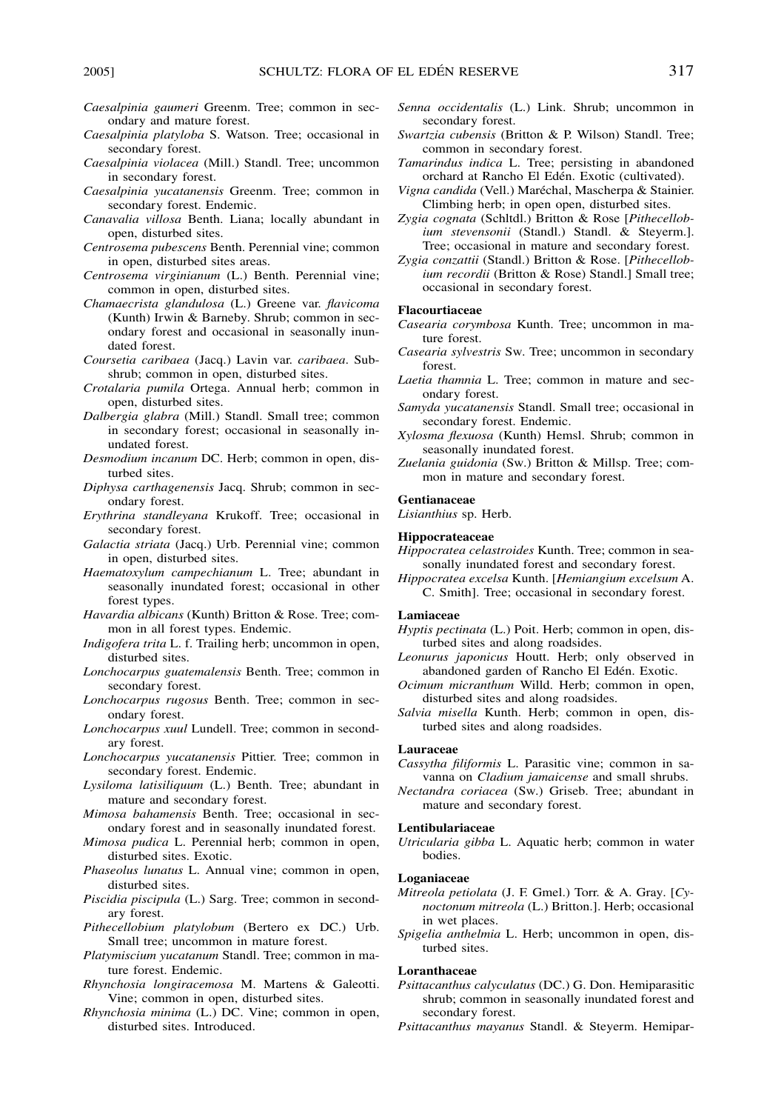- *Caesalpinia gaumeri* Greenm. Tree; common in secondary and mature forest.
- *Caesalpinia platyloba* S. Watson. Tree; occasional in secondary forest.
- *Caesalpinia violacea* (Mill.) Standl. Tree; uncommon in secondary forest.
- *Caesalpinia yucatanensis* Greenm. Tree; common in secondary forest. Endemic.
- *Canavalia villosa* Benth. Liana; locally abundant in open, disturbed sites.
- *Centrosema pubescens* Benth. Perennial vine; common in open, disturbed sites areas.
- *Centrosema virginianum* (L.) Benth. Perennial vine; common in open, disturbed sites.
- *Chamaecrista glandulosa* (L.) Greene var. *flavicoma* (Kunth) Irwin & Barneby. Shrub; common in secondary forest and occasional in seasonally inundated forest.
- *Coursetia caribaea* (Jacq.) Lavin var. *caribaea*. Subshrub; common in open, disturbed sites.
- *Crotalaria pumila* Ortega. Annual herb; common in open, disturbed sites.
- *Dalbergia glabra* (Mill.) Standl. Small tree; common in secondary forest; occasional in seasonally inundated forest.
- *Desmodium incanum* DC. Herb; common in open, disturbed sites.
- *Diphysa carthagenensis* Jacq. Shrub; common in secondary forest.
- *Erythrina standleyana* Krukoff. Tree; occasional in secondary forest.
- *Galactia striata* (Jacq.) Urb. Perennial vine; common in open, disturbed sites.
- *Haematoxylum campechianum* L. Tree; abundant in seasonally inundated forest; occasional in other forest types.
- *Havardia albicans* (Kunth) Britton & Rose. Tree; common in all forest types. Endemic.
- *Indigofera trita* L. f. Trailing herb; uncommon in open, disturbed sites.
- *Lonchocarpus guatemalensis* Benth. Tree; common in secondary forest.
- *Lonchocarpus rugosus* Benth. Tree; common in secondary forest.
- *Lonchocarpus xuul* Lundell. Tree; common in secondary forest.
- *Lonchocarpus yucatanensis* Pittier. Tree; common in secondary forest. Endemic.
- *Lysiloma latisiliquum* (L.) Benth. Tree; abundant in mature and secondary forest.
- *Mimosa bahamensis* Benth. Tree; occasional in secondary forest and in seasonally inundated forest.
- *Mimosa pudica* L. Perennial herb; common in open, disturbed sites. Exotic.
- *Phaseolus lunatus* L. Annual vine; common in open, disturbed sites.
- *Piscidia piscipula* (L.) Sarg. Tree; common in secondary forest.
- *Pithecellobium platylobum* (Bertero ex DC.) Urb. Small tree; uncommon in mature forest.
- *Platymiscium yucatanum* Standl. Tree; common in mature forest. Endemic.
- *Rhynchosia longiracemosa* M. Martens & Galeotti. Vine; common in open, disturbed sites.
- *Rhynchosia minima* (L.) DC. Vine; common in open, disturbed sites. Introduced.
- *Senna occidentalis* (L.) Link. Shrub; uncommon in secondary forest.
- *Swartzia cubensis* (Britton & P. Wilson) Standl. Tree; common in secondary forest.
- *Tamarindus indica* L. Tree; persisting in abandoned orchard at Rancho El Edén. Exotic (cultivated).
- Vigna candida (Vell.) Maréchal, Mascherpa & Stainier. Climbing herb; in open open, disturbed sites.
- *Zygia cognata* (Schltdl.) Britton & Rose [*Pithecellobium stevensonii* (Standl.) Standl. & Steyerm.]. Tree; occasional in mature and secondary forest.
- *Zygia conzattii* (Standl.) Britton & Rose. [*Pithecellobium recordii* (Britton & Rose) Standl.] Small tree; occasional in secondary forest.

# **Flacourtiaceae**

- *Casearia corymbosa* Kunth. Tree; uncommon in mature forest.
- *Casearia sylvestris* Sw. Tree; uncommon in secondary forest.
- *Laetia thamnia* L. Tree; common in mature and secondary forest.
- *Samyda yucatanensis* Standl. Small tree; occasional in secondary forest. Endemic.
- *Xylosma flexuosa* (Kunth) Hemsl. Shrub; common in seasonally inundated forest.
- *Zuelania guidonia* (Sw.) Britton & Millsp. Tree; common in mature and secondary forest.

# **Gentianaceae**

*Lisianthius* sp. Herb.

# **Hippocrateaceae**

- *Hippocratea celastroides* Kunth. Tree; common in seasonally inundated forest and secondary forest.
- *Hippocratea excelsa* Kunth. [*Hemiangium excelsum* A. C. Smith]. Tree; occasional in secondary forest.

#### **Lamiaceae**

- *Hyptis pectinata* (L.) Poit. Herb; common in open, disturbed sites and along roadsides.
- *Leonurus japonicus* Houtt. Herb; only observed in abandoned garden of Rancho El Edén. Exotic.
- *Ocimum micranthum* Willd. Herb; common in open, disturbed sites and along roadsides.
- *Salvia misella* Kunth. Herb; common in open, disturbed sites and along roadsides.

# **Lauraceae**

- *Cassytha filiformis* L. Parasitic vine; common in savanna on *Cladium jamaicense* and small shrubs.
- *Nectandra coriacea* (Sw.) Griseb. Tree; abundant in mature and secondary forest.

#### **Lentibulariaceae**

*Utricularia gibba* L. Aquatic herb; common in water bodies.

# **Loganiaceae**

- *Mitreola petiolata* (J. F. Gmel.) Torr. & A. Gray. [*Cynoctonum mitreola* (L.) Britton.]. Herb; occasional in wet places.
- *Spigelia anthelmia* L. Herb; uncommon in open, disturbed sites.

#### **Loranthaceae**

- *Psittacanthus calyculatus* (DC.) G. Don. Hemiparasitic shrub; common in seasonally inundated forest and secondary forest.
- *Psittacanthus mayanus* Standl. & Steyerm. Hemipar-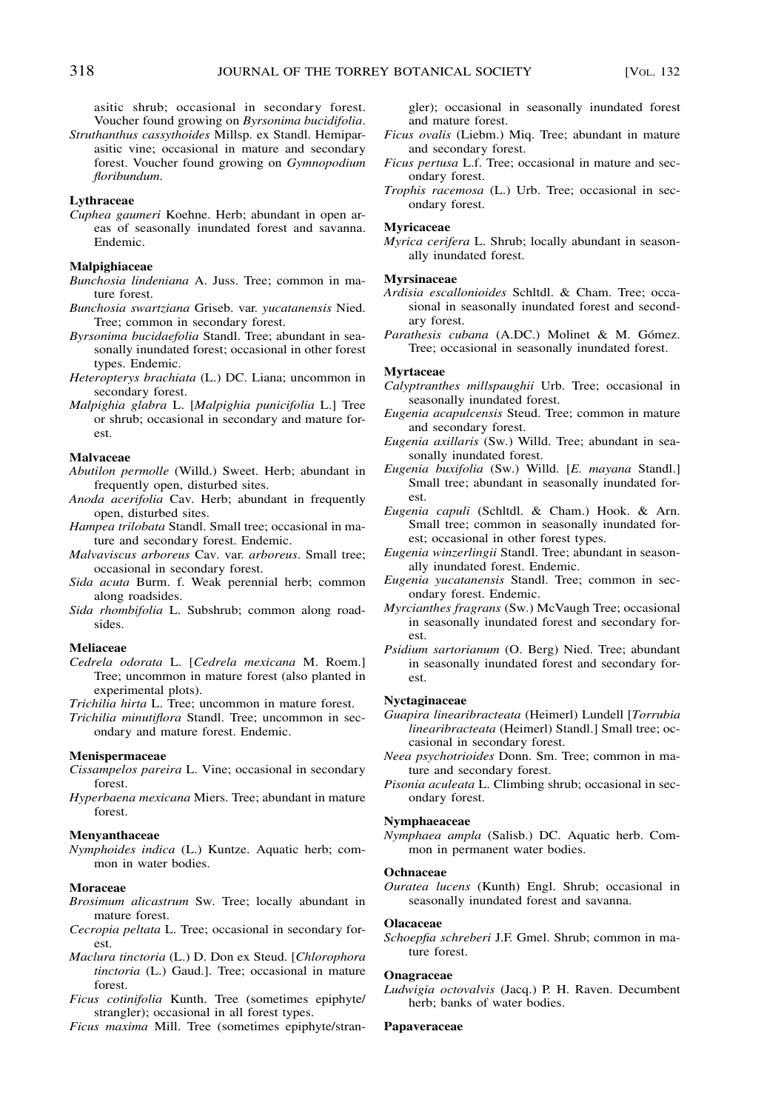asitic shrub; occasional in secondary forest. Voucher found growing on *Byrsonima bucidifolia*.

*Struthanthus cassythoides* Millsp. ex Standl. Hemiparasitic vine; occasional in mature and secondary forest. Voucher found growing on *Gymnopodium floribundum*.

# **Lythraceae**

*Cuphea gaumeri* Koehne. Herb; abundant in open areas of seasonally inundated forest and savanna. Endemic.

# **Malpighiaceae**

- *Bunchosia lindeniana* A. Juss. Tree; common in mature forest.
- *Bunchosia swartziana* Griseb. var. *yucatanensis* Nied. Tree; common in secondary forest.
- *Byrsonima bucidaefolia* Standl. Tree; abundant in seasonally inundated forest; occasional in other forest types. Endemic.
- *Heteropterys brachiata* (L.) DC. Liana; uncommon in secondary forest.
- *Malpighia glabra* L. [*Malpighia punicifolia* L.] Tree or shrub; occasional in secondary and mature forest.

# **Malvaceae**

*Abutilon permolle* (Willd.) Sweet. Herb; abundant in frequently open, disturbed sites.

- *Anoda acerifolia* Cav. Herb; abundant in frequently open, disturbed sites.
- *Hampea trilobata* Standl. Small tree; occasional in mature and secondary forest. Endemic.
- *Malvaviscus arboreus* Cav. var. *arboreus*. Small tree; occasional in secondary forest.
- *Sida acuta* Burm. f. Weak perennial herb; common along roadsides.
- *Sida rhombifolia* L. Subshrub; common along roadsides.

# **Meliaceae**

*Cedrela odorata* L. [*Cedrela mexicana* M. Roem.] Tree; uncommon in mature forest (also planted in experimental plots).

*Trichilia hirta* L. Tree; uncommon in mature forest.

*Trichilia minutiflora* Standl. Tree; uncommon in secondary and mature forest. Endemic.

## **Menispermaceae**

- *Cissampelos pareira* L. Vine; occasional in secondary forest.
- *Hyperbaena mexicana* Miers. Tree; abundant in mature forest.

### **Menyanthaceae**

*Nymphoides indica* (L.) Kuntze. Aquatic herb; common in water bodies.

#### **Moraceae**

- *Brosimum alicastrum* Sw. Tree; locally abundant in mature forest.
- *Cecropia peltata* L. Tree; occasional in secondary forest.
- *Maclura tinctoria* (L.) D. Don ex Steud. [*Chlorophora tinctoria* (L.) Gaud.]. Tree; occasional in mature forest.
- *Ficus cotinifolia* Kunth. Tree (sometimes epiphyte/ strangler); occasional in all forest types.

*Ficus maxima* Mill. Tree (sometimes epiphyte/stran-

gler); occasional in seasonally inundated forest and mature forest.

- *Ficus ovalis* (Liebm.) Miq. Tree; abundant in mature and secondary forest.
- *Ficus pertusa* L.f. Tree; occasional in mature and secondary forest.
- *Trophis racemosa* (L.) Urb. Tree; occasional in secondary forest.

# **Myricaceae**

*Myrica cerifera* L. Shrub; locally abundant in seasonally inundated forest.

#### **Myrsinaceae**

- *Ardisia escallonioides* Schltdl. & Cham. Tree; occasional in seasonally inundated forest and secondary forest.
- Parathesis cubana (A.DC.) Molinet & M. Gómez. Tree; occasional in seasonally inundated forest.

# **Myrtaceae**

- *Calyptranthes millspaughii* Urb. Tree; occasional in seasonally inundated forest.
- *Eugenia acapulcensis* Steud. Tree; common in mature and secondary forest.
- *Eugenia axillaris* (Sw.) Willd. Tree; abundant in seasonally inundated forest.
- *Eugenia buxifolia* (Sw.) Willd. [*E. mayana* Standl.] Small tree; abundant in seasonally inundated forest.
- *Eugenia capuli* (Schltdl. & Cham.) Hook. & Arn. Small tree; common in seasonally inundated forest; occasional in other forest types.
- *Eugenia winzerlingii* Standl. Tree; abundant in seasonally inundated forest. Endemic.
- *Eugenia yucatanensis* Standl. Tree; common in secondary forest. Endemic.
- *Myrcianthes fragrans* (Sw.) McVaugh Tree; occasional in seasonally inundated forest and secondary forest.
- *Psidium sartorianum* (O. Berg) Nied. Tree; abundant in seasonally inundated forest and secondary forest.

#### **Nyctaginaceae**

- *Guapira linearibracteata* (Heimerl) Lundell [*Torrubia linearibracteata* (Heimerl) Standl.] Small tree; occasional in secondary forest.
- *Neea psychotrioides* Donn. Sm. Tree; common in mature and secondary forest.
- *Pisonia aculeata* L. Climbing shrub; occasional in secondary forest.

#### **Nymphaeaceae**

*Nymphaea ampla* (Salisb.) DC. Aquatic herb. Common in permanent water bodies.

#### **Ochnaceae**

*Ouratea lucens* (Kunth) Engl. Shrub; occasional in seasonally inundated forest and savanna.

#### **Olacaceae**

*Schoepfia schreberi* J.F. Gmel. Shrub; common in mature forest.

# **Onagraceae**

*Ludwigia octovalvis* (Jacq.) P. H. Raven. Decumbent herb; banks of water bodies.

#### **Papaveraceae**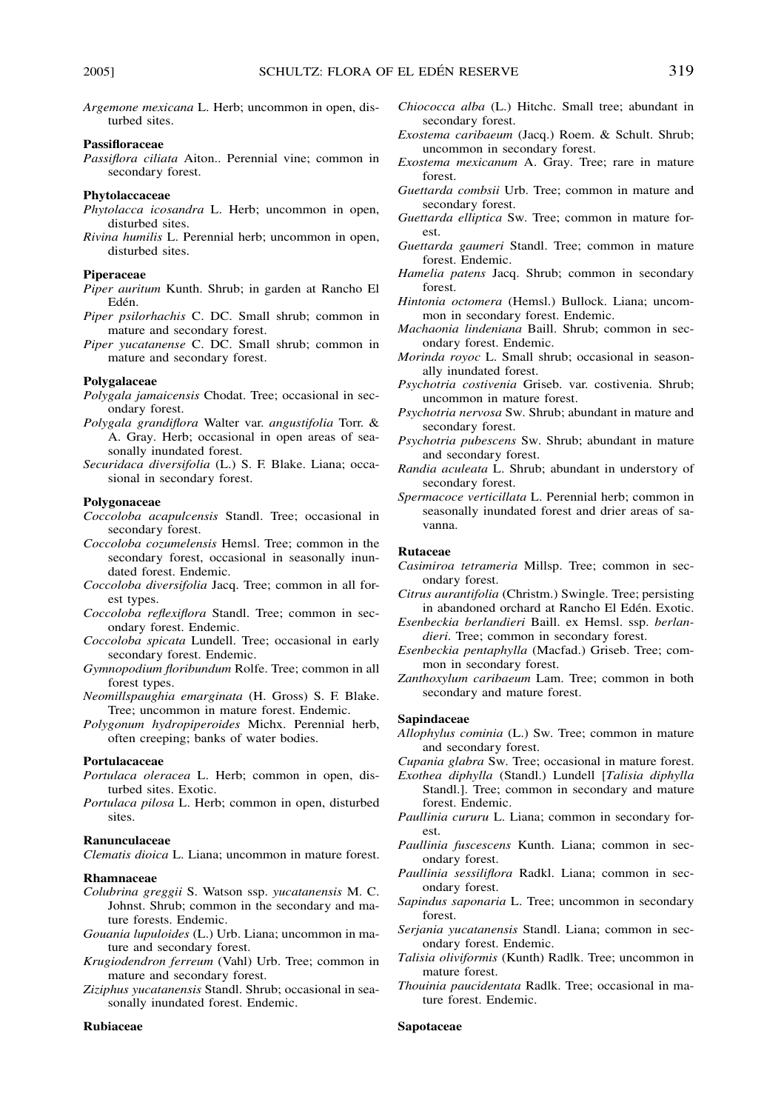*Argemone mexicana* L. Herb; uncommon in open, disturbed sites.

# **Passifloraceae**

*Passiflora ciliata* Aiton.. Perennial vine; common in secondary forest.

# **Phytolaccaceae**

- *Phytolacca icosandra* L. Herb; uncommon in open, disturbed sites.
- *Rivina humilis* L. Perennial herb; uncommon in open, disturbed sites.

# **Piperaceae**

- *Piper auritum* Kunth. Shrub; in garden at Rancho El Edén.
- *Piper psilorhachis* C. DC. Small shrub; common in mature and secondary forest.
- *Piper yucatanense* C. DC. Small shrub; common in mature and secondary forest.

# **Polygalaceae**

- *Polygala jamaicensis* Chodat. Tree; occasional in secondary forest.
- *Polygala grandiflora* Walter var. *angustifolia* Torr. & A. Gray. Herb; occasional in open areas of seasonally inundated forest.
- *Securidaca diversifolia* (L.) S. F. Blake. Liana; occasional in secondary forest.

# **Polygonaceae**

- *Coccoloba acapulcensis* Standl. Tree; occasional in secondary forest.
- *Coccoloba cozumelensis* Hemsl. Tree; common in the secondary forest, occasional in seasonally inundated forest. Endemic.
- *Coccoloba diversifolia* Jacq. Tree; common in all forest types.
- *Coccoloba reflexiflora* Standl. Tree; common in secondary forest. Endemic.
- *Coccoloba spicata* Lundell. Tree; occasional in early secondary forest. Endemic.
- *Gymnopodium floribundum* Rolfe. Tree; common in all forest types.
- *Neomillspaughia emarginata* (H. Gross) S. F. Blake. Tree; uncommon in mature forest. Endemic.
- *Polygonum hydropiperoides* Michx. Perennial herb, often creeping; banks of water bodies.

# **Portulacaceae**

- *Portulaca oleracea* L. Herb; common in open, disturbed sites. Exotic.
- *Portulaca pilosa* L. Herb; common in open, disturbed sites.

# **Ranunculaceae**

*Clematis dioica* L. Liana; uncommon in mature forest.

# **Rhamnaceae**

- *Colubrina greggii* S. Watson ssp. *yucatanensis* M. C. Johnst. Shrub; common in the secondary and mature forests. Endemic.
- *Gouania lupuloides* (L.) Urb. Liana; uncommon in mature and secondary forest.
- *Krugiodendron ferreum* (Vahl) Urb. Tree; common in mature and secondary forest.
- *Ziziphus yucatanensis* Standl. Shrub; occasional in seasonally inundated forest. Endemic.

# **Rubiaceae**

- *Chiococca alba* (L.) Hitchc. Small tree; abundant in secondary forest.
- *Exostema caribaeum* (Jacq.) Roem. & Schult. Shrub; uncommon in secondary forest.
- *Exostema mexicanum* A. Gray. Tree; rare in mature forest.
- *Guettarda combsii* Urb. Tree; common in mature and secondary forest.
- *Guettarda elliptica* Sw. Tree; common in mature forest.
- *Guettarda gaumeri* Standl. Tree; common in mature forest. Endemic.
- *Hamelia patens* Jacq. Shrub; common in secondary forest.
- *Hintonia octomera* (Hemsl.) Bullock. Liana; uncommon in secondary forest. Endemic.
- *Machaonia lindeniana* Baill. Shrub; common in secondary forest. Endemic.
- *Morinda royoc* L. Small shrub; occasional in seasonally inundated forest.
- *Psychotria costivenia* Griseb. var. costivenia. Shrub; uncommon in mature forest.
- *Psychotria nervosa* Sw. Shrub; abundant in mature and secondary forest.
- *Psychotria pubescens* Sw. Shrub; abundant in mature and secondary forest.
- *Randia aculeata* L. Shrub; abundant in understory of secondary forest.
- *Spermacoce verticillata* L. Perennial herb; common in seasonally inundated forest and drier areas of savanna.

# **Rutaceae**

- *Casimiroa tetrameria* Millsp. Tree; common in secondary forest.
- *Citrus aurantifolia* (Christm.) Swingle. Tree; persisting in abandoned orchard at Rancho El Edén. Exotic.
- *Esenbeckia berlandieri* Baill. ex Hemsl. ssp. *berlandieri*. Tree; common in secondary forest.
- *Esenbeckia pentaphylla* (Macfad.) Griseb. Tree; common in secondary forest.
- *Zanthoxylum caribaeum* Lam. Tree; common in both secondary and mature forest.

# **Sapindaceae**

- *Allophylus cominia* (L.) Sw. Tree; common in mature and secondary forest.
- *Cupania glabra* Sw. Tree; occasional in mature forest.
- *Exothea diphylla* (Standl.) Lundell [*Talisia diphylla* Standl.]. Tree; common in secondary and mature forest. Endemic.
- *Paullinia cururu* L. Liana; common in secondary forest.
- *Paullinia fuscescens* Kunth. Liana; common in secondary forest.
- *Paullinia sessiliflora* Radkl. Liana; common in secondary forest.
- *Sapindus saponaria* L. Tree; uncommon in secondary forest.
- *Serjania yucatanensis* Standl. Liana; common in secondary forest. Endemic.
- *Talisia oliviformis* (Kunth) Radlk. Tree; uncommon in mature forest.
- *Thouinia paucidentata* Radlk. Tree; occasional in mature forest. Endemic.

# **Sapotaceae**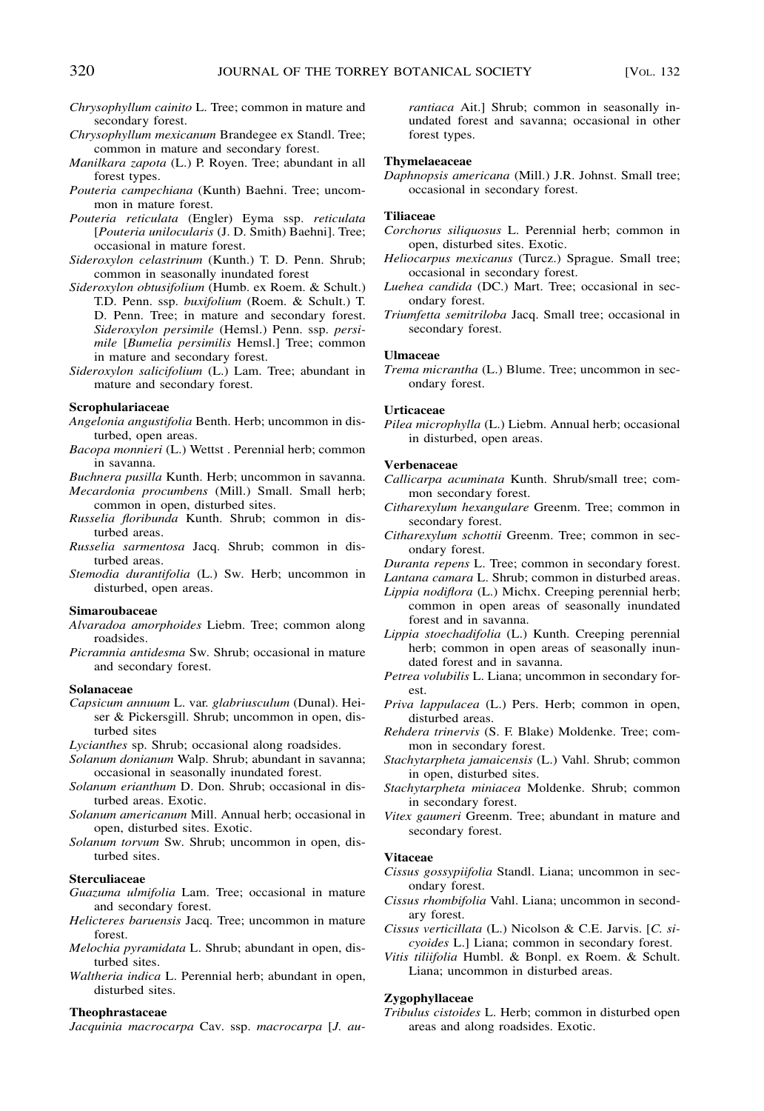- *Chrysophyllum cainito* L. Tree; common in mature and secondary forest.
- *Chrysophyllum mexicanum* Brandegee ex Standl. Tree; common in mature and secondary forest.
- *Manilkara zapota* (L.) P. Royen. Tree; abundant in all forest types.
- *Pouteria campechiana* (Kunth) Baehni. Tree; uncommon in mature forest.
- *Pouteria reticulata* (Engler) Eyma ssp. *reticulata* [*Pouteria unilocularis* (J. D. Smith) Baehni]. Tree; occasional in mature forest.
- *Sideroxylon celastrinum* (Kunth.) T. D. Penn. Shrub; common in seasonally inundated forest
- *Sideroxylon obtusifolium* (Humb. ex Roem. & Schult.) T.D. Penn. ssp. *buxifolium* (Roem. & Schult.) T. D. Penn. Tree; in mature and secondary forest. *Sideroxylon persimile* (Hemsl.) Penn. ssp. *persimile* [*Bumelia persimilis* Hemsl.] Tree; common in mature and secondary forest.
- *Sideroxylon salicifolium* (L.) Lam. Tree; abundant in mature and secondary forest.

#### **Scrophulariaceae**

- *Angelonia angustifolia* Benth. Herb; uncommon in disturbed, open areas.
- *Bacopa monnieri* (L.) Wettst . Perennial herb; common in savanna.

*Buchnera pusilla* Kunth. Herb; uncommon in savanna.

*Mecardonia procumbens* (Mill.) Small. Small herb; common in open, disturbed sites.

- *Russelia floribunda* Kunth. Shrub; common in disturbed areas.
- *Russelia sarmentosa* Jacq. Shrub; common in disturbed areas.
- *Stemodia durantifolia* (L.) Sw. Herb; uncommon in disturbed, open areas.

# **Simaroubaceae**

- *Alvaradoa amorphoides* Liebm. Tree; common along roadsides.
- *Picramnia antidesma* Sw. Shrub; occasional in mature and secondary forest.

# **Solanaceae**

*Capsicum annuum* L. var. *glabriusculum* (Dunal). Heiser & Pickersgill. Shrub; uncommon in open, disturbed sites

*Lycianthes* sp. Shrub; occasional along roadsides.

- *Solanum donianum* Walp. Shrub; abundant in savanna; occasional in seasonally inundated forest.
- *Solanum erianthum* D. Don. Shrub; occasional in disturbed areas. Exotic.
- *Solanum americanum* Mill. Annual herb; occasional in open, disturbed sites. Exotic.
- *Solanum torvum* Sw. Shrub; uncommon in open, disturbed sites.

# **Sterculiaceae**

*Guazuma ulmifolia* Lam. Tree; occasional in mature and secondary forest.

- *Helicteres baruensis* Jacq. Tree; uncommon in mature forest.
- *Melochia pyramidata* L. Shrub; abundant in open, disturbed sites.
- *Waltheria indica* L. Perennial herb; abundant in open, disturbed sites.

#### **Theophrastaceae**

*Jacquinia macrocarpa* Cav. ssp. *macrocarpa* [*J. au-*

*rantiaca* Ait.] Shrub; common in seasonally inundated forest and savanna; occasional in other forest types.

# **Thymelaeaceae**

*Daphnopsis americana* (Mill.) J.R. Johnst. Small tree; occasional in secondary forest.

#### **Tiliaceae**

- *Corchorus siliquosus* L. Perennial herb; common in open, disturbed sites. Exotic.
- *Heliocarpus mexicanus* (Turcz.) Sprague. Small tree; occasional in secondary forest.
- *Luehea candida* (DC.) Mart. Tree; occasional in secondary forest.
- *Triumfetta semitriloba* Jacq. Small tree; occasional in secondary forest.

#### **Ulmaceae**

*Trema micrantha* (L.) Blume. Tree; uncommon in secondary forest.

#### **Urticaceae**

*Pilea microphylla* (L.) Liebm. Annual herb; occasional in disturbed, open areas.

#### **Verbenaceae**

- *Callicarpa acuminata* Kunth. Shrub/small tree; common secondary forest.
- *Citharexylum hexangulare* Greenm. Tree; common in secondary forest.
- *Citharexylum schottii* Greenm. Tree; common in secondary forest.
- *Duranta repens* L. Tree; common in secondary forest.

*Lantana camara* L. Shrub; common in disturbed areas.

- *Lippia nodiflora* (L.) Michx. Creeping perennial herb; common in open areas of seasonally inundated forest and in savanna.
- *Lippia stoechadifolia* (L.) Kunth. Creeping perennial herb; common in open areas of seasonally inundated forest and in savanna.
- *Petrea volubilis* L. Liana; uncommon in secondary forest.
- *Priva lappulacea* (L.) Pers. Herb; common in open, disturbed areas.
- *Rehdera trinervis* (S. F. Blake) Moldenke. Tree; common in secondary forest.
- *Stachytarpheta jamaicensis* (L.) Vahl. Shrub; common in open, disturbed sites.
- *Stachytarpheta miniacea* Moldenke. Shrub; common in secondary forest.
- *Vitex gaumeri* Greenm. Tree; abundant in mature and secondary forest.

#### **Vitaceae**

- *Cissus gossypiifolia* Standl. Liana; uncommon in secondary forest.
- *Cissus rhombifolia* Vahl. Liana; uncommon in secondary forest.
- *Cissus verticillata* (L.) Nicolson & C.E. Jarvis. [*C. sicyoides* L.] Liana; common in secondary forest.
- *Vitis tiliifolia* Humbl. & Bonpl. ex Roem. & Schult. Liana; uncommon in disturbed areas.

# **Zygophyllaceae**

*Tribulus cistoides* L. Herb; common in disturbed open areas and along roadsides. Exotic.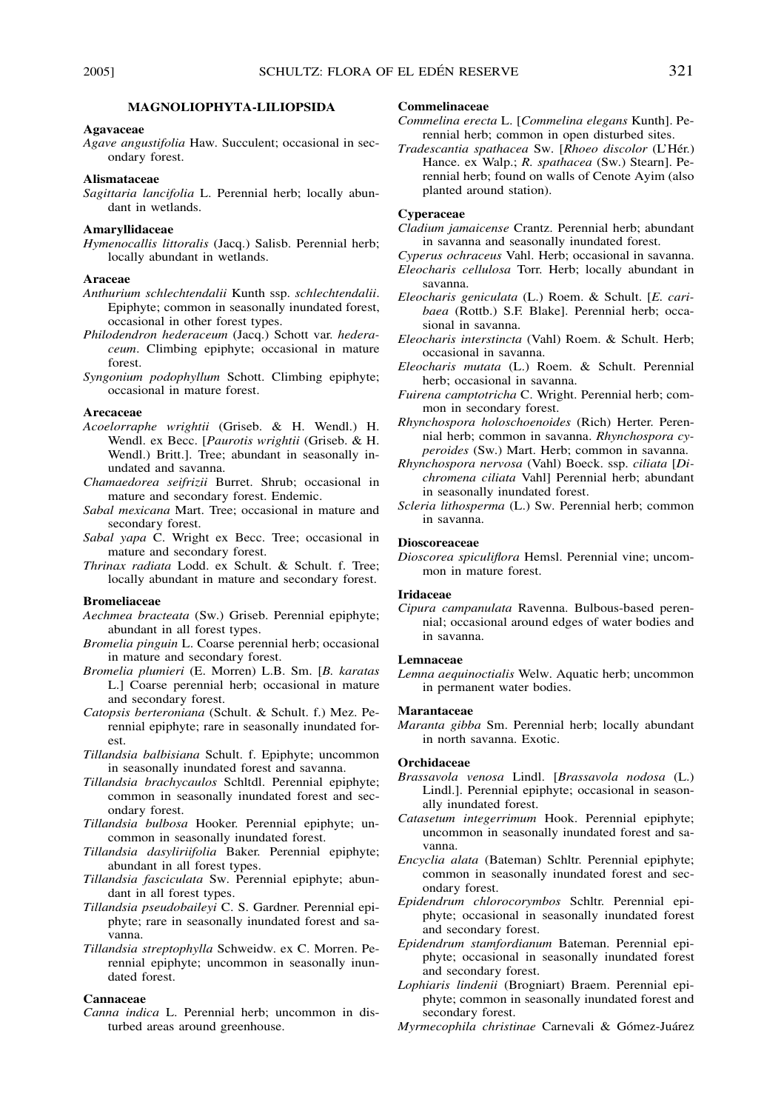# **MAGNOLIOPHYTA-LILIOPSIDA**

#### **Agavaceae**

*Agave angustifolia* Haw. Succulent; occasional in secondary forest.

#### **Alismataceae**

*Sagittaria lancifolia* L. Perennial herb; locally abundant in wetlands.

# **Amaryllidaceae**

*Hymenocallis littoralis* (Jacq.) Salisb. Perennial herb; locally abundant in wetlands.

# **Araceae**

- *Anthurium schlechtendalii* Kunth ssp. *schlechtendalii*. Epiphyte; common in seasonally inundated forest, occasional in other forest types.
- *Philodendron hederaceum* (Jacq.) Schott var. *hederaceum*. Climbing epiphyte; occasional in mature forest.
- *Syngonium podophyllum* Schott. Climbing epiphyte; occasional in mature forest.

# **Arecaceae**

- *Acoelorraphe wrightii* (Griseb. & H. Wendl.) H. Wendl. ex Becc. [*Paurotis wrightii* (Griseb. & H. Wendl.) Britt.]. Tree; abundant in seasonally inundated and savanna.
- *Chamaedorea seifrizii* Burret. Shrub; occasional in mature and secondary forest. Endemic.
- *Sabal mexicana* Mart. Tree; occasional in mature and secondary forest.
- *Sabal yapa* C. Wright ex Becc. Tree; occasional in mature and secondary forest.
- *Thrinax radiata* Lodd. ex Schult. & Schult. f. Tree; locally abundant in mature and secondary forest.

### **Bromeliaceae**

- *Aechmea bracteata* (Sw.) Griseb. Perennial epiphyte; abundant in all forest types.
- *Bromelia pinguin* L. Coarse perennial herb; occasional in mature and secondary forest.
- *Bromelia plumieri* (E. Morren) L.B. Sm. [*B. karatas* L.] Coarse perennial herb; occasional in mature and secondary forest.
- *Catopsis berteroniana* (Schult. & Schult. f.) Mez. Perennial epiphyte; rare in seasonally inundated forest.
- *Tillandsia balbisiana* Schult. f. Epiphyte; uncommon in seasonally inundated forest and savanna.
- *Tillandsia brachycaulos* Schltdl. Perennial epiphyte; common in seasonally inundated forest and secondary forest.
- *Tillandsia bulbosa* Hooker. Perennial epiphyte; uncommon in seasonally inundated forest.
- *Tillandsia dasyliriifolia* Baker. Perennial epiphyte; abundant in all forest types.
- *Tillandsia fasciculata* Sw. Perennial epiphyte; abundant in all forest types.
- *Tillandsia pseudobaileyi* C. S. Gardner. Perennial epiphyte; rare in seasonally inundated forest and savanna.
- *Tillandsia streptophylla* Schweidw. ex C. Morren. Perennial epiphyte; uncommon in seasonally inundated forest.

# **Cannaceae**

*Canna indica* L. Perennial herb; uncommon in disturbed areas around greenhouse.

# **Commelinaceae**

- *Commelina erecta* L. [*Commelina elegans* Kunth]. Perennial herb; common in open disturbed sites.
- *Tradescantia spathacea* Sw. [*Rhoeo discolor* (L'He´r.) Hance. ex Walp.; *R. spathacea* (Sw.) Stearn]. Perennial herb; found on walls of Cenote Ayim (also planted around station).

# **Cyperaceae**

- *Cladium jamaicense* Crantz. Perennial herb; abundant in savanna and seasonally inundated forest.
- *Cyperus ochraceus* Vahl. Herb; occasional in savanna. *Eleocharis cellulosa* Torr. Herb; locally abundant in savanna.
- *Eleocharis geniculata* (L.) Roem. & Schult. [*E. caribaea* (Rottb.) S.F. Blake]. Perennial herb; occasional in savanna.
- *Eleocharis interstincta* (Vahl) Roem. & Schult. Herb; occasional in savanna.
- *Eleocharis mutata* (L.) Roem. & Schult. Perennial herb; occasional in savanna.
- *Fuirena camptotricha* C. Wright. Perennial herb; common in secondary forest.
- *Rhynchospora holoschoenoides* (Rich) Herter. Perennial herb; common in savanna. *Rhynchospora cyperoides* (Sw.) Mart. Herb; common in savanna.
- *Rhynchospora nervosa* (Vahl) Boeck. ssp. *ciliata* [*Dichromena ciliata* Vahl] Perennial herb; abundant in seasonally inundated forest.
- *Scleria lithosperma* (L.) Sw. Perennial herb; common in savanna.

# **Dioscoreaceae**

*Dioscorea spiculiflora* Hemsl. Perennial vine; uncommon in mature forest.

#### **Iridaceae**

*Cipura campanulata* Ravenna. Bulbous-based perennial; occasional around edges of water bodies and in savanna.

#### **Lemnaceae**

*Lemna aequinoctialis* Welw. Aquatic herb; uncommon in permanent water bodies.

# **Marantaceae**

*Maranta gibba* Sm. Perennial herb; locally abundant in north savanna. Exotic.

# **Orchidaceae**

- *Brassavola venosa* Lindl. [*Brassavola nodosa* (L.) Lindl.]. Perennial epiphyte; occasional in seasonally inundated forest.
- *Catasetum integerrimum* Hook. Perennial epiphyte; uncommon in seasonally inundated forest and savanna.
- *Encyclia alata* (Bateman) Schltr. Perennial epiphyte; common in seasonally inundated forest and secondary forest.
- *Epidendrum chlorocorymbos* Schltr. Perennial epiphyte; occasional in seasonally inundated forest and secondary forest.
- *Epidendrum stamfordianum* Bateman. Perennial epiphyte; occasional in seasonally inundated forest and secondary forest.
- *Lophiaris lindenii* (Brogniart) Braem. Perennial epiphyte; common in seasonally inundated forest and secondary forest.
- *Myrmecophila christinae* Carnevali & Gómez-Juárez